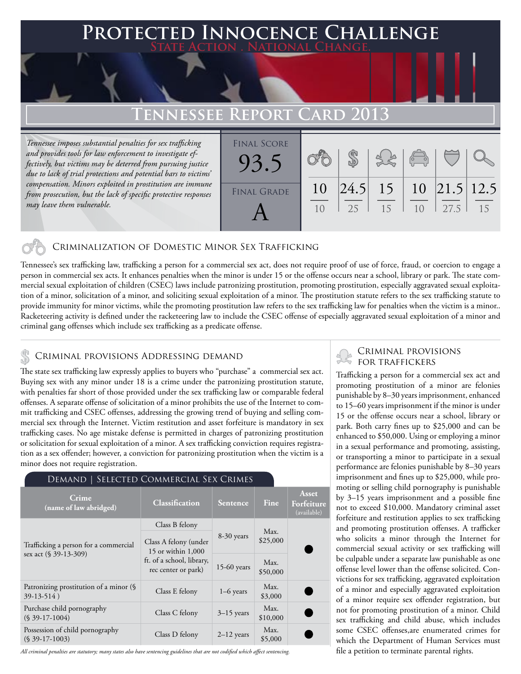### **PED INNOCENCE CHALLENGE State Action . National Change.**

## **TENNESSEE REPOR**

*Tennessee imposes substantial penalties for sex trafficking and provides tools for law enforcement to investigate effectively, but victims may be deterred from pursuing justice due to lack of trial protections and potential bars to victims' compensation. Minors exploited in prostitution are immune from prosecution, but the lack of specific protective responses may leave them vulnerable.* 

| <b>FINAL SCORE</b> |    |    |    |                 |      |    |
|--------------------|----|----|----|-----------------|------|----|
| 93.5               |    |    |    | $\sqrt{2}$      |      |    |
|                    |    |    |    |                 |      |    |
| <b>FINAL GRADE</b> | 10 |    |    |                 |      |    |
|                    |    | 25 | 15 | 10 <sup>1</sup> | 27.5 | 15 |
|                    |    |    |    |                 |      |    |

### Criminalization of Domestic Minor Sex Trafficking

Tennessee's sex trafficking law, trafficking a person for a commercial sex act, does not require proof of use of force, fraud, or coercion to engage a person in commercial sex acts. It enhances penalties when the minor is under 15 or the offense occurs near a school, library or park. The state commercial sexual exploitation of children (CSEC) laws include patronizing prostitution, promoting prostitution, especially aggravated sexual exploitation of a minor, solicitation of a minor, and soliciting sexual exploitation of a minor. The prostitution statute refers to the sex trafficking statute to provide immunity for minor victims, while the promoting prostitution law refers to the sex trafficking law for penalties when the victim is a minor.. Racketeering activity is defined under the racketeering law to include the CSEC offense of especially aggravated sexual exploitation of a minor and criminal gang offenses which include sex trafficking as a predicate offense.

### CRIMINAL PROVISIONS ADDRESSING DEMAND

The state sex trafficking law expressly applies to buyers who "purchase" a commercial sex act. Buying sex with any minor under 18 is a crime under the patronizing prostitution statute, with penalties far short of those provided under the sex trafficking law or comparable federal offenses. A separate offense of solicitation of a minor prohibits the use of the Internet to commit trafficking and CSEC offenses, addressing the growing trend of buying and selling commercial sex through the Internet. Victim restitution and asset forfeiture is mandatory in sex trafficking cases. No age mistake defense is permitted in charges of patronizing prostitution or solicitation for sexual exploitation of a minor. A sex trafficking conviction requires registration as a sex offender; however, a conviction for patronizing prostitution when the victim is a minor does not require registration.

| SELECTED COMMERCIAL SEX CRIMES<br>Demand                       |                                                  |                 |                  |                                    |  |  |  |  |
|----------------------------------------------------------------|--------------------------------------------------|-----------------|------------------|------------------------------------|--|--|--|--|
| Crime<br>(name of law abridged)                                | Classification                                   | <b>Sentence</b> | Fine             | Asset<br>Forfeiture<br>(available) |  |  |  |  |
|                                                                | Class B felony                                   | 8-30 years      | Max.<br>\$25,000 |                                    |  |  |  |  |
| Trafficking a person for a commercial<br>sex act (§ 39-13-309) | Class A felony (under<br>15 or within 1,000      |                 |                  |                                    |  |  |  |  |
|                                                                | ft. of a school, library,<br>rec center or park) | $15-60$ years   | Max.<br>\$50,000 |                                    |  |  |  |  |
| Patronizing prostitution of a minor (§<br>$39-13-514$ )        | Class E felony                                   | $1-6$ years     | Max.<br>\$3,000  |                                    |  |  |  |  |
| Purchase child pornography<br>$(S$ 39-17-1004)                 | Class C felony                                   | $3-15$ years    | Max.<br>\$10,000 |                                    |  |  |  |  |
| Possession of child pornography<br>$(S$ 39-17-1003)            | Class D felony                                   | $2-12$ years    | Max.<br>\$5,000  |                                    |  |  |  |  |

*All criminal penalties are statutory; many states also have sentencing guidelines that are not codified which affect sentencing.* 

# CRIMINAL PROVISIONS

Trafficking a person for a commercial sex act and promoting prostitution of a minor are felonies punishable by 8–30 years imprisonment, enhanced to 15–60 years imprisonment if the minor is under 15 or the offense occurs near a school, library or park. Both carry fines up to \$25,000 and can be enhanced to \$50,000. Using or employing a minor in a sexual performance and promoting, assisting, or transporting a minor to participate in a sexual performance are felonies punishable by 8–30 years imprisonment and fines up to \$25,000, while promoting or selling child pornography is punishable by 3–15 years imprisonment and a possible fine not to exceed \$10,000. Mandatory criminal asset forfeiture and restitution applies to sex trafficking and promoting prostitution offenses. A trafficker who solicits a minor through the Internet for commercial sexual activity or sex trafficking will be culpable under a separate law punishable as one offense level lower than the offense solicited. Convictions for sex trafficking, aggravated exploitation of a minor and especially aggravated exploitation of a minor require sex offender registration, but not for promoting prostitution of a minor. Child sex trafficking and child abuse, which includes some CSEC offenses,are enumerated crimes for which the Department of Human Services must file a petition to terminate parental rights.